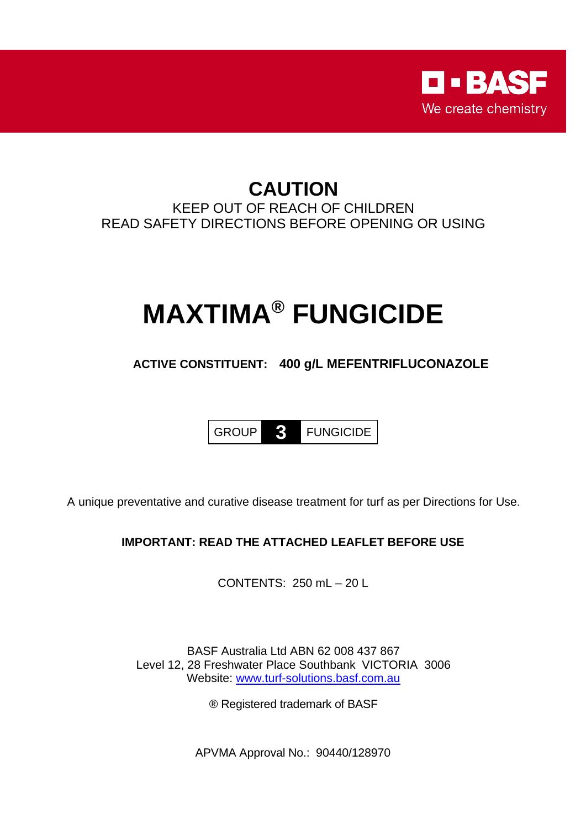

## **CAUTION** KEEP OUT OF REACH OF CHILDREN READ SAFETY DIRECTIONS BEFORE OPENING OR USING

# **MAXTIMA® FUNGICIDE**

## **ACTIVE CONSTITUENT: 400 g/L MEFENTRIFLUCONAZOLE**



A unique preventative and curative disease treatment for turf as per Directions for Use.

### **IMPORTANT: READ THE ATTACHED LEAFLET BEFORE USE**

CONTENTS: 250 mL – 20 L

BASF Australia Ltd ABN 62 008 437 867 Level 12, 28 Freshwater Place Southbank VICTORIA 3006 Website: [www.turf-solutions.basf.com.au](http://www.turf-solutions.basf.com.au/)

® Registered trademark of BASF

APVMA Approval No.: 90440/128970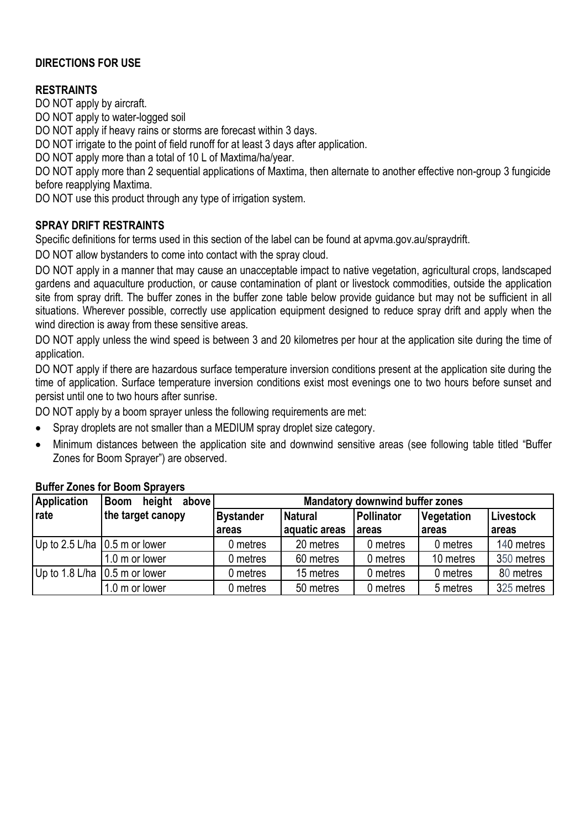#### **DIRECTIONS FOR USE**

#### **RESTRAINTS**

DO NOT apply by aircraft.

DO NOT apply to water-logged soil

DO NOT apply if heavy rains or storms are forecast within 3 days.

DO NOT irrigate to the point of field runoff for at least 3 days after application.

DO NOT apply more than a total of 10 L of Maxtima/ha/year.

DO NOT apply more than 2 sequential applications of Maxtima, then alternate to another effective non-group 3 fungicide before reapplying Maxtima.

DO NOT use this product through any type of irrigation system.

#### **SPRAY DRIFT RESTRAINTS**

Specific definitions for terms used in this section of the label can be found at apvma.gov.au/spraydrift.

DO NOT allow bystanders to come into contact with the spray cloud.

DO NOT apply in a manner that may cause an unacceptable impact to native vegetation, agricultural crops, landscaped gardens and aquaculture production, or cause contamination of plant or livestock commodities, outside the application site from spray drift. The buffer zones in the buffer zone table below provide guidance but may not be sufficient in all situations. Wherever possible, correctly use application equipment designed to reduce spray drift and apply when the wind direction is away from these sensitive areas.

DO NOT apply unless the wind speed is between 3 and 20 kilometres per hour at the application site during the time of application.

DO NOT apply if there are hazardous surface temperature inversion conditions present at the application site during the time of application. Surface temperature inversion conditions exist most evenings one to two hours before sunset and persist until one to two hours after sunrise.

DO NOT apply by a boom sprayer unless the following requirements are met:

- Spray droplets are not smaller than a MEDIUM spray droplet size category.
- Minimum distances between the application site and downwind sensitive areas (see following table titled "Buffer Zones for Boom Sprayer") are observed.

| <b>Application</b> | height<br>above<br><b>Boom</b>          | <b>Mandatory downwind buffer zones</b> |                |                   |                   |            |  |
|--------------------|-----------------------------------------|----------------------------------------|----------------|-------------------|-------------------|------------|--|
| rate               | the target canopy                       | <b>Bystander</b>                       | <b>Natural</b> | <b>Pollinator</b> | <b>Vegetation</b> | Livestock  |  |
|                    |                                         | areas                                  | aquatic areas  | areas             | areas             | areas      |  |
|                    | Up to $2.5$ L/ha $\vert 0.5$ m or lower | 0 metres                               | 20 metres      | 0 metres          | 0 metres          | 140 metres |  |
|                    | 1.0 m or lower                          | 0 metres                               | 60 metres      | 0 metres          | 10 metres         | 350 metres |  |
|                    | Up to 1.8 L/ha $\vert$ 0.5 m or lower   | 0 metres                               | 15 metres      | 0 metres          | 0 metres          | 80 metres  |  |
|                    | 1.0 m or lower                          | 0 metres                               | 50 metres      | 0 metres          | 5 metres          | 325 metres |  |

#### **Buffer Zones for Boom Sprayers**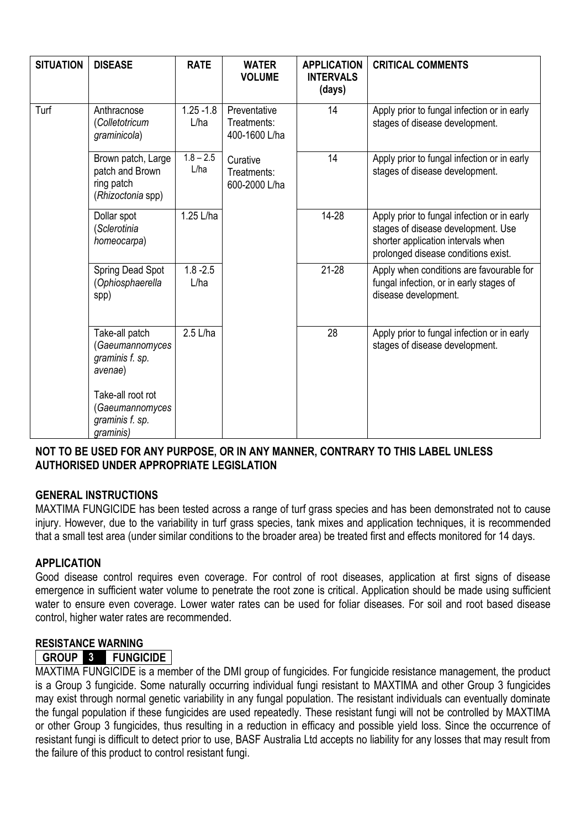| <b>SITUATION</b> | <b>DISEASE</b>                                                           | <b>RATE</b>             | <b>WATER</b><br><b>VOLUME</b>                | <b>APPLICATION</b><br><b>INTERVALS</b><br>(days) | <b>CRITICAL COMMENTS</b>                                                                                                                                       |
|------------------|--------------------------------------------------------------------------|-------------------------|----------------------------------------------|--------------------------------------------------|----------------------------------------------------------------------------------------------------------------------------------------------------------------|
| Turf             | Anthracnose<br>(Colletotricum<br>graminicola)                            | $1.25 - 1.8$<br>L/ha    | Preventative<br>Treatments:<br>400-1600 L/ha | 14                                               | Apply prior to fungal infection or in early<br>stages of disease development.                                                                                  |
|                  | Brown patch, Large<br>patch and Brown<br>ring patch<br>(Rhizoctonia spp) | $1.8 - 2.5$<br>L/ha     | Curative<br>Treatments:<br>600-2000 L/ha     | 14                                               | Apply prior to fungal infection or in early<br>stages of disease development.                                                                                  |
|                  | Dollar spot<br>(Sclerotinia<br>homeocarpa)                               | $\overline{1}$ .25 L/ha |                                              | 14-28                                            | Apply prior to fungal infection or in early<br>stages of disease development. Use<br>shorter application intervals when<br>prolonged disease conditions exist. |
|                  | Spring Dead Spot<br>(Ophiosphaerella<br>spp)                             | $1.8 - 2.5$<br>L/ha     |                                              | $21 - 28$                                        | Apply when conditions are favourable for<br>fungal infection, or in early stages of<br>disease development.                                                    |
|                  | Take-all patch<br>(Gaeumannomyces<br>graminis f. sp.<br>avenae)          | 2.5 L/ha                |                                              | 28                                               | Apply prior to fungal infection or in early<br>stages of disease development.                                                                                  |
|                  | Take-all root rot<br>(Gaeumannomyces<br>graminis f. sp.<br>graminis)     |                         |                                              |                                                  |                                                                                                                                                                |

#### **NOT TO BE USED FOR ANY PURPOSE, OR IN ANY MANNER, CONTRARY TO THIS LABEL UNLESS AUTHORISED UNDER APPROPRIATE LEGISLATION**

#### **GENERAL INSTRUCTIONS**

MAXTIMA FUNGICIDE has been tested across a range of turf grass species and has been demonstrated not to cause injury. However, due to the variability in turf grass species, tank mixes and application techniques, it is recommended that a small test area (under similar conditions to the broader area) be treated first and effects monitored for 14 days.

#### **APPLICATION**

Good disease control requires even coverage. For control of root diseases, application at first signs of disease emergence in sufficient water volume to penetrate the root zone is critical. Application should be made using sufficient water to ensure even coverage. Lower water rates can be used for foliar diseases. For soil and root based disease control, higher water rates are recommended.

#### **RESISTANCE WARNING**

#### **GROUP 3 FUNGICIDE**

MAXTIMA FUNGICIDE is a member of the DMI group of fungicides. For fungicide resistance management, the product is a Group 3 fungicide. Some naturally occurring individual fungi resistant to MAXTIMA and other Group 3 fungicides may exist through normal genetic variability in any fungal population. The resistant individuals can eventually dominate the fungal population if these fungicides are used repeatedly. These resistant fungi will not be controlled by MAXTIMA or other Group 3 fungicides, thus resulting in a reduction in efficacy and possible yield loss. Since the occurrence of resistant fungi is difficult to detect prior to use, BASF Australia Ltd accepts no liability for any losses that may result from the failure of this product to control resistant fungi.